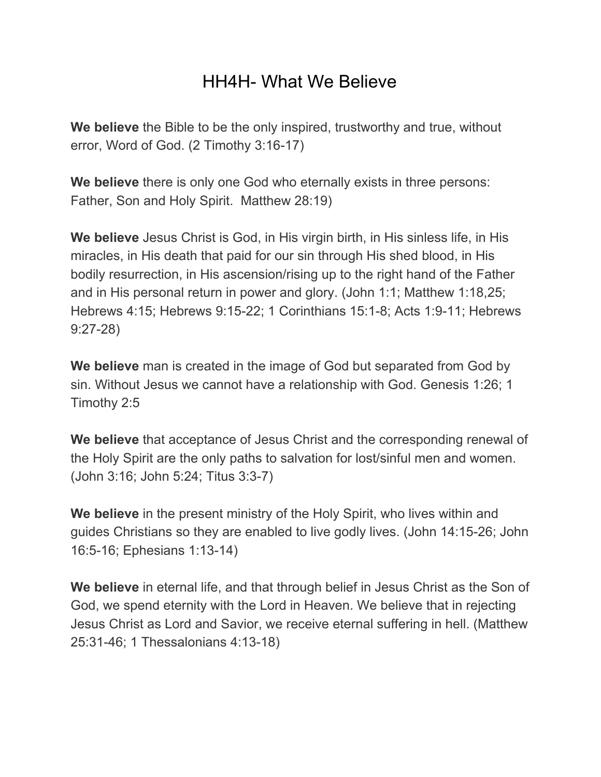## HH4H- What We Believe

**We believe** the Bible to be the only inspired, trustworthy and true, without error, Word of God. (2 Timothy 3:16-17)

**We believe** there is only one God who eternally exists in three persons: Father, Son and Holy Spirit. Matthew 28:19)

**We believe** Jesus Christ is God, in His virgin birth, in His sinless life, in His miracles, in His death that paid for our sin through His shed blood, in His bodily resurrection, in His ascension/rising up to the right hand of the Father and in His personal return in power and glory. (John 1:1; Matthew 1:18,25; Hebrews 4:15; Hebrews 9:15-22; 1 Corinthians 15:1-8; Acts 1:9-11; Hebrews 9:27-28)

**We believe** man is created in the image of God but separated from God by sin. Without Jesus we cannot have a relationship with God. Genesis 1:26; 1 Timothy 2:5

**We believe** that acceptance of Jesus Christ and the corresponding renewal of the Holy Spirit are the only paths to salvation for lost/sinful men and women. (John 3:16; John 5:24; Titus 3:3-7)

**We believe** in the present ministry of the Holy Spirit, who lives within and guides Christians so they are enabled to live godly lives. (John 14:15-26; John 16:5-16; Ephesians 1:13-14)

**We believe** in eternal life, and that through belief in Jesus Christ as the Son of God, we spend eternity with the Lord in Heaven. We believe that in rejecting Jesus Christ as Lord and Savior, we receive eternal suffering in hell. (Matthew 25:31-46; 1 Thessalonians 4:13-18)